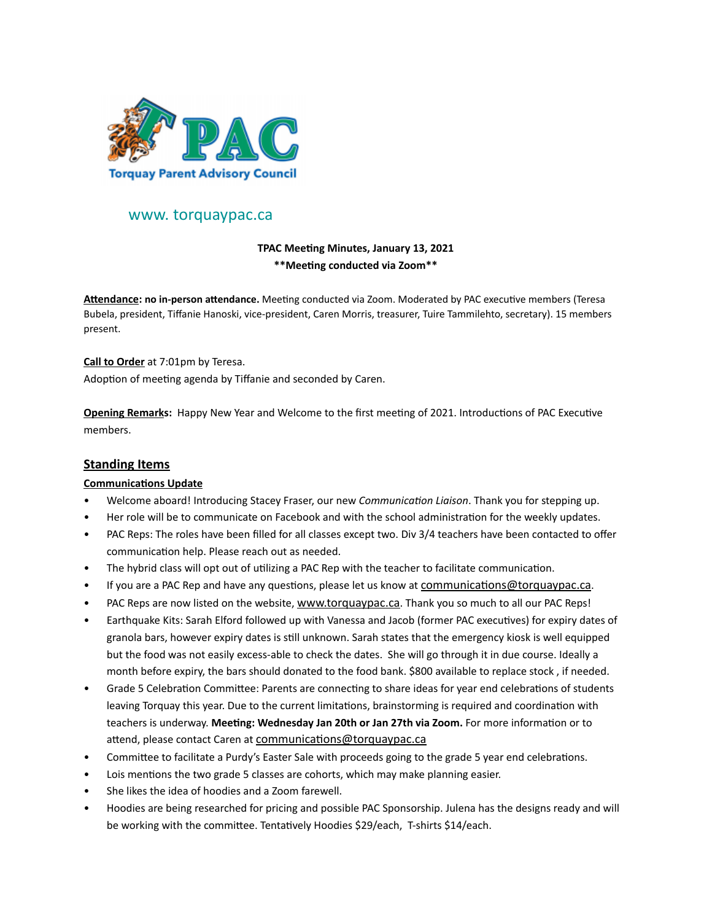

# www. torquaypac.ca

# **TPAC Meeting Minutes, January 13, 2021 \*\*Meeting conducted via Zoom\*\***

**Attendance: no in-person attendance.** Meeting conducted via Zoom. Moderated by PAC executive members (Teresa Bubela, president, Tiffanie Hanoski, vice-president, Caren Morris, treasurer, Tuire Tammilehto, secretary). 15 members present.

#### **Call to Order** at 7:01pm by Teresa.

Adoption of meeting agenda by Tiffanie and seconded by Caren.

**Opening Remarks:** Happy New Year and Welcome to the first meeting of 2021. Introductions of PAC Executive members.

# **Standing Items**

#### **Communications Update**

- Welcome aboard! Introducing Stacey Fraser, our new *Communication Liaison*. Thank you for stepping up.
- Her role will be to communicate on Facebook and with the school administration for the weekly updates.
- PAC Reps: The roles have been filled for all classes except two. Div 3/4 teachers have been contacted to offer communication help. Please reach out as needed.
- The hybrid class will opt out of utilizing a PAC Rep with the teacher to facilitate communication.
- If you are a PAC Rep and have any questions, please let us know at [communications@torquaypac.ca.](mailto:communications@torquaypac.ca)
- PAC Reps are now listed on the website, [www.torquaypac.ca](http://www.torquaypac.ca). Thank you so much to all our PAC Reps!
- Earthquake Kits: Sarah Elford followed up with Vanessa and Jacob (former PAC executives) for expiry dates of granola bars, however expiry dates is still unknown. Sarah states that the emergency kiosk is well equipped but the food was not easily excess-able to check the dates. She will go through it in due course. Ideally a month before expiry, the bars should donated to the food bank. \$800 available to replace stock , if needed.
- Grade 5 Celebration Committee: Parents are connecting to share ideas for year end celebrations of students leaving Torquay this year. Due to the current limitations, brainstorming is required and coordination with teachers is underway. **Meeting: Wednesday Jan 20th or Jan 27th via Zoom.** For more information or to attend, please contact Caren at [communications@torquaypac.ca](mailto:communications@torquaypac.ca)
- Committee to facilitate a Purdy's Easter Sale with proceeds going to the grade 5 year end celebrations.
- Lois mentions the two grade 5 classes are cohorts, which may make planning easier.
- She likes the idea of hoodies and a Zoom farewell.
- Hoodies are being researched for pricing and possible PAC Sponsorship. Julena has the designs ready and will be working with the committee. Tentatively Hoodies \$29/each, T-shirts \$14/each.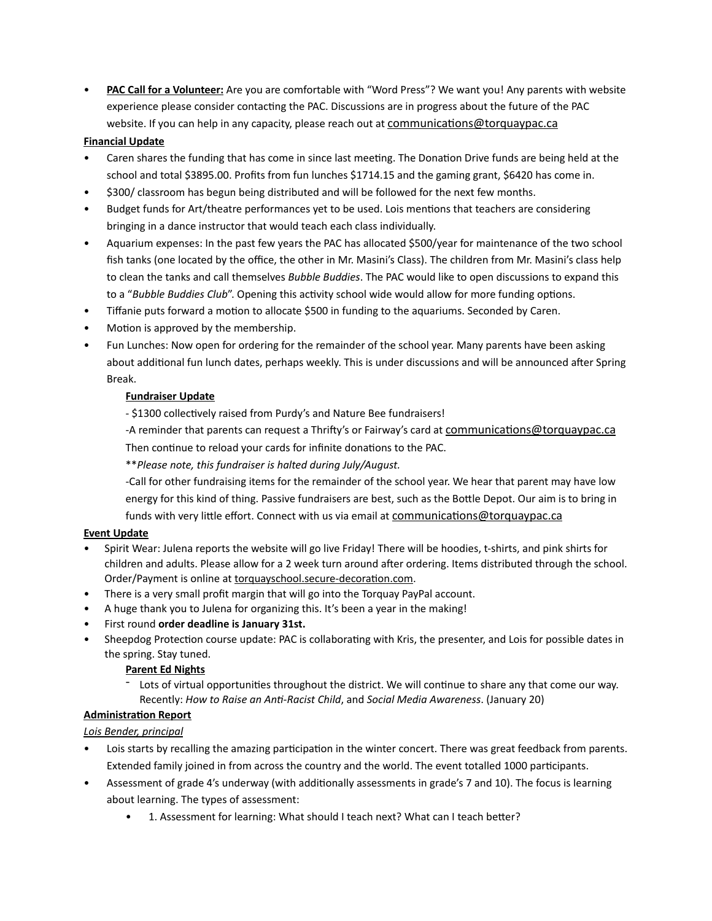• **PAC Call for a Volunteer:** Are you are comfortable with "Word Press"? We want you! Any parents with website experience please consider contacting the PAC. Discussions are in progress about the future of the PAC website. If you can help in any capacity, please reach out at [communications@torquaypac.ca](mailto:communications@torquaypac.ca)

### **Financial Update**

- Caren shares the funding that has come in since last meeting. The Donation Drive funds are being held at the school and total \$3895.00. Profits from fun lunches \$1714.15 and the gaming grant, \$6420 has come in.
- \$300/ classroom has begun being distributed and will be followed for the next few months.
- Budget funds for Art/theatre performances yet to be used. Lois mentions that teachers are considering bringing in a dance instructor that would teach each class individually.
- Aquarium expenses: In the past few years the PAC has allocated \$500/year for maintenance of the two school fish tanks (one located by the office, the other in Mr. Masini's Class). The children from Mr. Masini's class help to clean the tanks and call themselves *Bubble Buddies*. The PAC would like to open discussions to expand this to a "*Bubble Buddies Club*". Opening this activity school wide would allow for more funding options.
- Tiffanie puts forward a motion to allocate \$500 in funding to the aquariums. Seconded by Caren.
- Motion is approved by the membership.
- Fun Lunches: Now open for ordering for the remainder of the school year. Many parents have been asking about additional fun lunch dates, perhaps weekly. This is under discussions and will be announced after Spring Break.

### **Fundraiser Update**

- \$1300 collectively raised from Purdy's and Nature Bee fundraisers!
- -A reminder that parents can request a Thrifty's or Fairway's card at [communications@torquaypac.ca](mailto:communications@torquaypac.ca) Then continue to reload your cards for infinite donations to the PAC.

\*\**Please note, this fundraiser is halted during July/August.*

-Call for other fundraising items for the remainder of the school year. We hear that parent may have low energy for this kind of thing. Passive fundraisers are best, such as the Bottle Depot. Our aim is to bring in funds with very little effort. Connect with us via email at [communications@torquaypac.ca](mailto:communications@torquaypac.ca)

#### **Event Update**

- Spirit Wear: Julena reports the website will go live Friday! There will be hoodies, t-shirts, and pink shirts for children and adults. Please allow for a 2 week turn around after ordering. Items distributed through the school. Order/Payment is online at [torquayschool.secure-decoration.com](http://track.spe.schoolmessenger.com/f/a/Y2bEk0v0xFIFEP7NYQJJhg~~/AAAAAQA~/RgRh42A1P0QqaHR0cDovL3RvcnF1YXlzY2hvb2wuc2VjdXJlLWRlY29yYXRpb24uY29tVwdzY2hvb2xtQgpgArUsAmAbluMzUhhzX3RhbW1pbGVodG9AaG90bWFpbC5jb21YBAAAAAI~).
- There is a very small profit margin that will go into the Torquay PayPal account.
- A huge thank you to Julena for organizing this. It's been a year in the making!
- First round **order deadline is January 31st.**
- Sheepdog Protection course update: PAC is collaborating with Kris, the presenter, and Lois for possible dates in the spring. Stay tuned.

#### **Parent Ed Nights**

Lots of virtual opportunities throughout the district. We will continue to share any that come our way. Recently: *How to Raise an Anti-Racist Child*, and *Social Media Awareness*. (January 20)

## **Administration Report**

## *Lois Bender, principal*

- Lois starts by recalling the amazing participation in the winter concert. There was great feedback from parents. Extended family joined in from across the country and the world. The event totalled 1000 participants.
- Assessment of grade 4's underway (with additionally assessments in grade's 7 and 10). The focus is learning about learning. The types of assessment:
	- 1. Assessment for learning: What should I teach next? What can I teach better?